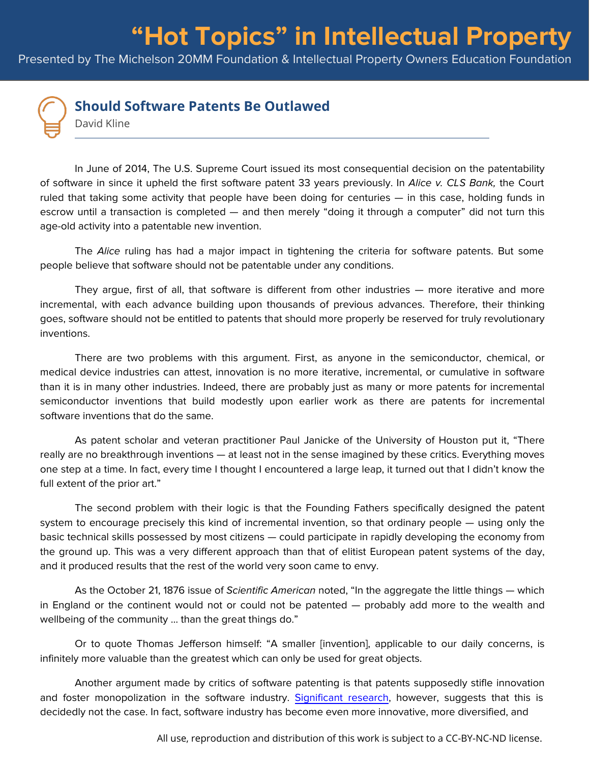## **Should Software Patents Be Outlawed**

David Kline

In June of 2014, The U.S. Supreme Court issued its most consequential decision on the patentability of software in since it upheld the first software patent 33 years previously. In Alice v. CLS Bank, the Court ruled that taking some activity that people have been doing for centuries — in this case, holding funds in escrow until a transaction is completed — and then merely "doing it through a computer" did not turn this age-old activity into a patentable new invention.

Presented by The Michelson 20MM Foundation & Intellectual Property Owners Education Foundation

The Alice ruling has had a major impact in tightening the criteria for software patents. But some people believe that software should not be patentable under any conditions.

They argue, first of all, that software is different from other industries — more iterative and more incremental, with each advance building upon thousands of previous advances. Therefore, their thinking goes, software should not be entitled to patents that should more properly be reserved for truly revolutionary inventions.

There are two problems with this argument. First, as anyone in the semiconductor, chemical, or medical device industries can attest, innovation is no more iterative, incremental, or cumulative in software than it is in many other industries. Indeed, there are probably just as many or more patents for incremental semiconductor inventions that build modestly upon earlier work as there are patents for incremental software inventions that do the same.

As patent scholar and veteran practitioner Paul Janicke of the University of Houston put it, "There really are no breakthrough inventions — at least not in the sense imagined by these critics. Everything moves one step at a time. In fact, every time I thought I encountered a large leap, it turned out that I didn't know the full extent of the prior art."

The second problem with their logic is that the Founding Fathers specifically designed the patent system to encourage precisely this kind of incremental invention, so that ordinary people — using only the basic technical skills possessed by most citizens — could participate in rapidly developing the economy from the ground up. This was a very different approach than that of elitist European patent systems of the day, and it produced results that the rest of the world very soon came to envy.

As the October 21, 1876 issue of Scientific American noted, "In the aggregate the little things — which in England or the continent would not or could not be patented — probably add more to the wealth and wellbeing of the community ... than the great things do."

Or to quote Thomas Jefferson himself: "A smaller [invention], applicable to our daily concerns, is infinitely more valuable than the greatest which can only be used for great objects.

Another argument made by critics of software patenting is that patents supposedly stifle innovation and foster monopolization in the software industry. [Significant research](https://papers.ssrn.com/sol3/papers.cfm?abstract_id=926204), however, suggests that this is decidedly not the case. In fact, software industry has become even more innovative, more diversified, and

All use, reproduction and distribution of this work is subject to a CC-BY-NC-ND license.